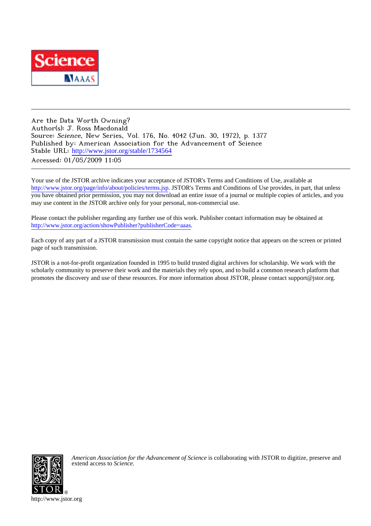

Are the Data Worth Owning? Author(s): J. Ross Macdonald Source: Science, New Series, Vol. 176, No. 4042 (Jun. 30, 1972), p. 1377 Published by: American Association for the Advancement of Science Stable URL: [http://www.jstor.org/stable/1734564](http://www.jstor.org/stable/1734564?origin=JSTOR-pdf) Accessed: 01/05/2009 11:05

Your use of the JSTOR archive indicates your acceptance of JSTOR's Terms and Conditions of Use, available at <http://www.jstor.org/page/info/about/policies/terms.jsp>. JSTOR's Terms and Conditions of Use provides, in part, that unless you have obtained prior permission, you may not download an entire issue of a journal or multiple copies of articles, and you may use content in the JSTOR archive only for your personal, non-commercial use.

Please contact the publisher regarding any further use of this work. Publisher contact information may be obtained at <http://www.jstor.org/action/showPublisher?publisherCode=aaas>.

Each copy of any part of a JSTOR transmission must contain the same copyright notice that appears on the screen or printed page of such transmission.

JSTOR is a not-for-profit organization founded in 1995 to build trusted digital archives for scholarship. We work with the scholarly community to preserve their work and the materials they rely upon, and to build a common research platform that promotes the discovery and use of these resources. For more information about JSTOR, please contact support@jstor.org.



*American Association for the Advancement of Science* is collaborating with JSTOR to digitize, preserve and extend access to *Science.*